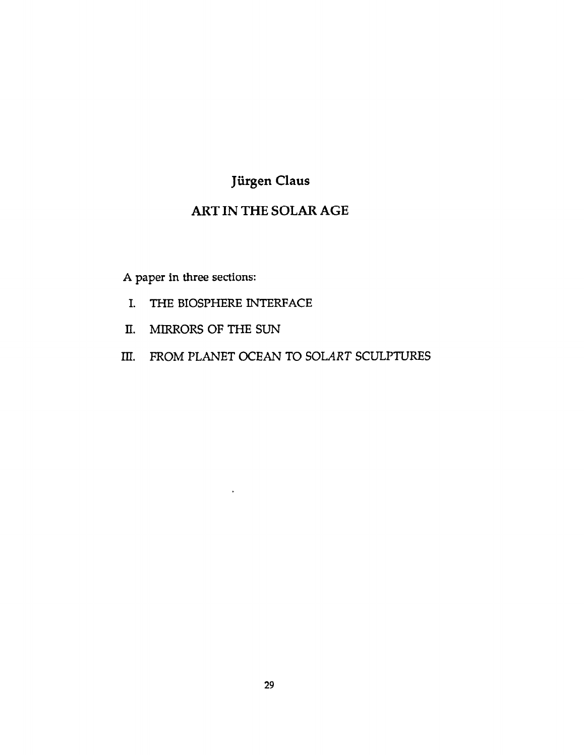## ART IN THE SOLAR AGE

A paper in three sections:

I. THE BIOSPHERE INTERFACE

 $\epsilon$ 

- II. MIRRORS OF THE SUN
- III. FROM PLANET OCEAN TO SOLART SCULPTURES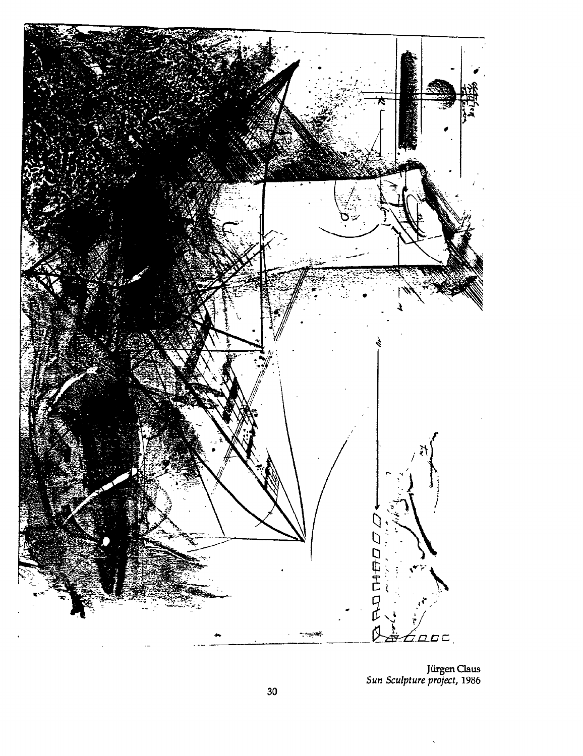

Jürgen Claus Sun Sculpture project, 1986

 $\bar{\mathbf{v}}$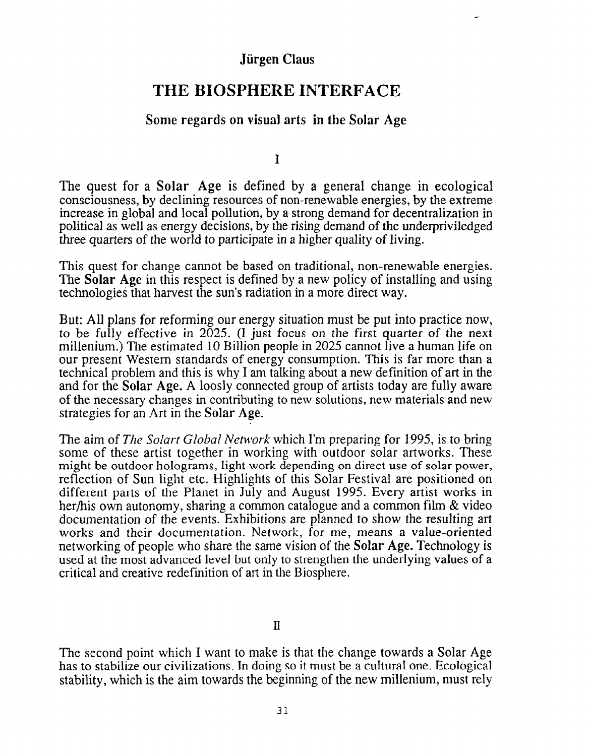# THE BIOSPHERE INTERFACE

## Some regards on visual arts in the Solar Age

I

The quest for a Solar Age is defined by a general change in ecological consciousness, by declining resources of non-renewable energies, by the extreme increase in global and local pollution, by a strong demand for decentralization in political as well as energy decisions, by the rising demand of the underpriviledged three quarters of the world to participate in a higher quality of living.

This quest for change cannot be based on traditional, non-renewable energies. The Solar Age in this respect is defined by a new policy of installing and using technologies that harvest the sun's radiation in a more direct way.

But: All plans for reforming our energy situation must be put into practice now, to be fully effective in  $2025$ . (I just focus on the first quarter of the next millenium.) The estimated 10 Billion people in 2025 cannot live a human life on our present Western standards of energy consumption. This is far more than a technical problem and this is why I am talking about a new definition of art in the and for the Solar Age. A loosly connected group of artists today are fully aware of the necessary changes in contributing to new solutions, new materials and new strategies for an Art in the Solar Age.

The aim of The Solart Global Network which I'm preparing for 1995, is to bring some of these artist together in working with outdoor solar artworks. These might be outdoor holograms, light work depending on direct use of solar power, reflection of Sun light etc. Highlights of this Solar Festival are positioned on different parts of the Planet in July and August 1995. Every artist works in her/his own autonomy, sharing a common catalogue and a common film & video documentation of the events. Exhibitions are planned to show the resulting art works and their documentation. Network, for me, means a value-oriented networking of people who share the same vision of the Solar Age. Technology is used at the most advanced level but only to strengthen the underlying values of a critical and creative redefinition of art in the Biosphere.

II

The second point which I want to make is that the change towards a Solar Age has to stabilize our civilizations. In doing so it must be a cultural one. Ecological stability, which is the aim towards the beginning of the new millenium, must rely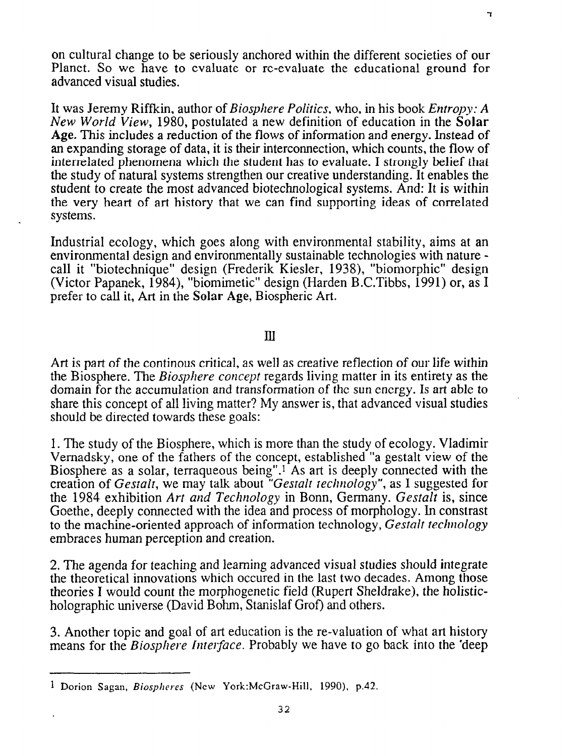on cultural change to be seriously anchored within the different societies of our Planet. So we have to evaluate or re-evaluate the educational ground for advanced visual studies.

It was Jeremy Riffkin, author of *Biosphere Politics*, who, in his book *Entropy: A* New World View, 1980, postulated a new definition of education in the Solar Age. This includes a reduction of the flows of information and energy. Instead of an expanding storage of data, it is their interconnection, which counts, the flow of interrelated phenomena which the student has to evaluate. Istrongly belief that the study of natural systems strengthen our creative understanding. It enables the student to create the most advanced biotechnological systems. And: It is within the very heart of art history that we can find supporting ideas of correlated systems.

Industrial ecology, which goes along with environmental stability, aims at an environmental design and environmentally sustainable technologies with nature call it "biotechnique" design (Frederik Kiesler, 1938), "biomorphic" design (Victor Papanek, 1984), "biomimetic" design (Harden B.C.Tibbs, 1991) or, as I prefer to call it, Art in the Solar Age, Biospheric Art.

#### Ill

Art is part of the continous critical, as well as creative reflection of our life within the Biosphere. The *Biosphere concept* regards living matter in its entirety as the domain for the accumulation and transformation of the sun energy. Is art able to share this concept of all living matter? My answer is, that advanced visual studies should be directed towards these goals:

1. The study of the Biosphere, which is more than the study of ecology. Vladimir Vernadsky, one of the fathers of the concept, established "a gestalt view of the Biosphere as a solar, terraqueous being".<sup>1</sup> As art is deeply connected with the creation of Gestalt, we may talk about "Gestalt technology", as I suggested for the 1984 exhibition Art and Technology in Bonn, Germany. Gestalt is, since Goethe, deeply connected with the idea and process of morphology. In constrast to the machine-oriented approach of information technology, Gestalt technology embraces human perception and creation.

2. The agenda for teaching and learning advanced visual studies should integrate the theoretical innovations which occured in the last two decades. Among those theories I would count the morphogenetic field (Rupert Sheldrake), the holisticholographic universe (David Bohm, Stanislaf Grof) and others.

3. Another topic and goal of art education is the re-valuation of what art history means for the *Biosphere Interface*. Probably we have to go back into the 'deep

٦

<sup>&</sup>lt;sup>1</sup> Dorion Sagan, Biospheres (New York:McGraw-Hill, 1990), p.42.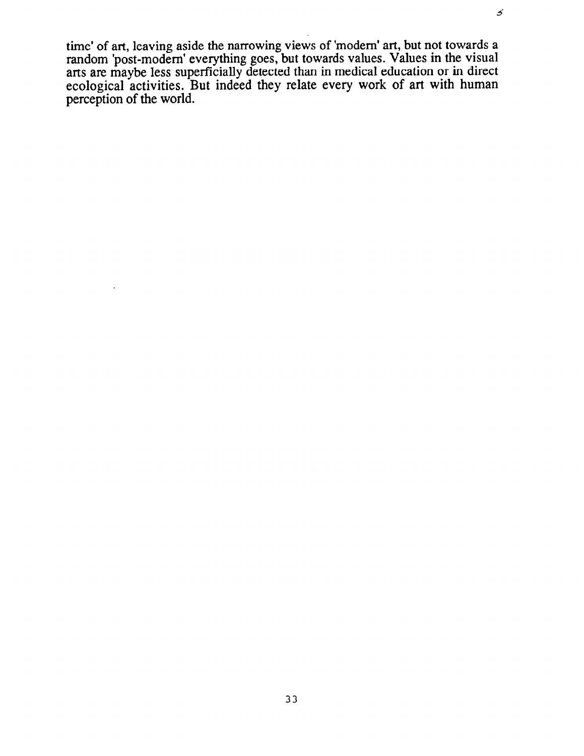time' of art, leaving aside the narrowing views of 'modem' art, but not towards a random 'post-modem' everything goes, but towards values. Values in the visual arts are maybe less superficially detected than in medical education or in direct ecological activities. But indeed they relate every work of art with human perception of the world.

 $\boldsymbol{\mathcal{S}}$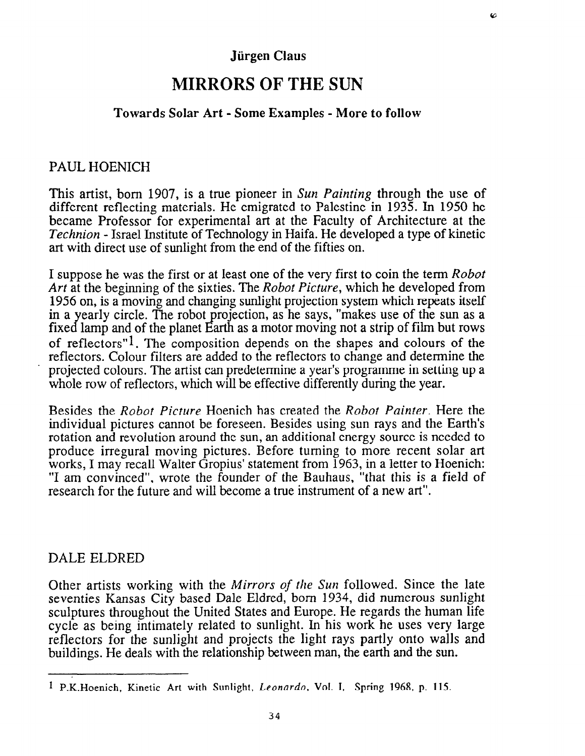# MIRRORS OF THE SUN

### Towards Solar Art - Some Examples - More to follow

### PAUL HOENICH

This artist, born 1907, is a true pioneer in Sun Painting through the use of different reflecting materials. He emigrated to Palestine in 1935. In 1950 he became Professor for experimental art at the Faculty of Architecture at the Technion - Israel Institute of Technology in Haifa. He developed a type of kinetic art with direct use of sunlight from the end of the fifties on.

I suppose he was the first or at least one of the very first to coin the term Robot Art at the beginning of the sixties. The *Robot Picture*, which he developed from 1956 on, is a moving and changing sunlight projection system which repeats itself in a yearly circle. The robot projection, as he says, "makes use of the sun as a fixed lamp and of the planet Earth as a motor moving not a strip of film but rows of reflectors"<sup>1</sup>. The composition depends on the shapes and colours of the reflectors. Colour filters are added to the reflectors to change and determine the ' projected colours. The artist can predetermine ayear's programme in setting up a whole row of reflectors, which will be effective differently during the year.

Besides the Robot Picture Hoenich has created the Robot Painter. Here the individual pictures cannot be foreseen. Besides using sun rays and the Earth's rotation and revolution around the sun, an additional energy source is needed to produce irregural moving pictures. Before turning to more recent solar art works, I may recall Walter Gropius' statement from 1963, in a letter to Hoenich: "I am convinced", wrote the founder of the Bauhaus, "that this is a field of research for the future and will become a true instrument of a new art".

### DALE ELDRED

Other artists working with the Mirrors of the Sun followed. Since the late seventies Kansas City based Dale Eldred, born 1934, did numerous sunlight sculptures throughout the United States and Europe. He regards the human life cycle as being intimately related to sunlight. In his work he uses very large reflectors for the sunlight and projects the light rays partly onto walls and buildings. He deals with the relationship between man, the earth and the sun.

<sup>&</sup>lt;sup>I</sup> P.K. Hoenich, Kinetic Art with Sunlight, Leonardo, Vol. I, Spring 1968, p. 115.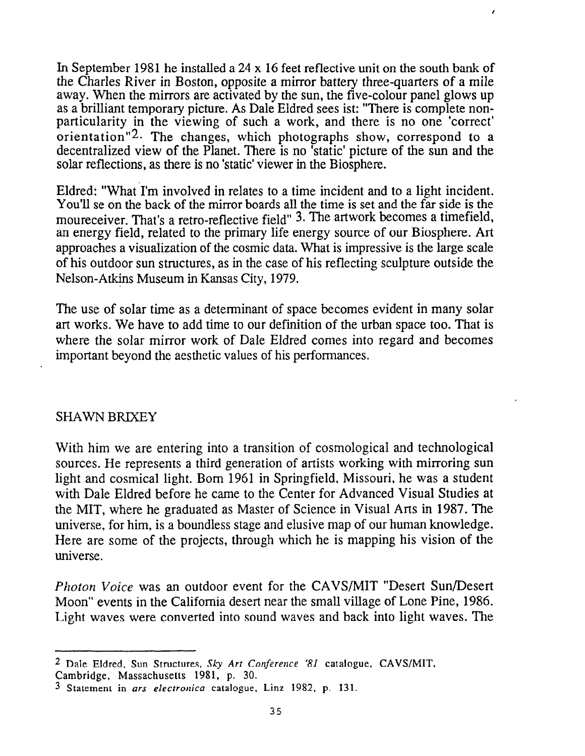In September 1981 he installed a 24 x 16 feet reflective unit on the south bank of the Charles River in Boston, opposite a mirror battery three-quarters of a mile away. When the mirrors are activated by the sun, the five-colour panel glows up as a brilliant temporary picture. As Dale Eldred sees ist: "There is complete nonparticularity in the viewing of such a work, and there is no one 'correct' orientation"<sup>2</sup>. The changes, which photographs show, correspond to a decentralized view of the Planet. There is no 'static' picture of the sun and the solar reflections, as there is no 'static' viewer in the Biosphere.

 $\lambda$ 

Eldred: "What I'm involved in relates to a time incident and to a light incident. You'll se on the back of the mirror boards all the time is set and the far side is the moureceiver. That's a retro-reflective field" 3. The artwork becomes a timefield, an energy field, related to the primary life energy source of our Biosphere. Art approaches a visualization of the cosmic data. What is impressive is the large scale of his outdoor sun structures, as in the case of his reflecting sculpture outside the Nelson-Atkins Museum in Kansas City, 1979.

The use of solar time as a determinant of space becomes evident in many solar art works. We have to add time to our definition of the urban space too. That is where the solar mirror work of Dale Eldred comes into regard and becomes important beyond the aesthetic values of his performances.

### SHAWN BRIXEY

With him we are entering into a transition of cosmological and technological sources. He represents a third generation of artists working with mirroring sun light and cosmical light. Born 1961 in Springfield, Missouri, he was a student with Dale Eldred before he came to the Center for Advanced Visual Studies at the MIT, where he graduated as Master of Science in Visual Arts in 1987. The universe, for him, is a boundless stage and elusive map of our human knowledge. Here are some of the projects, through which he is mapping his vision of the universe.

Photon Voice was an outdoor event for the CAVS/MIT "Desert Sun/Desert Moon" events in the California desert near the small village of Lone Pine, 1986. Light waves were converted into sound waves and back into light waves. The

<sup>&</sup>lt;sup>2</sup> Dale Eldred, Sun Structures, Sky Art Conference '81 catalogue, CAVS/MIT,

Cambridge, Massachusetts 1981, p. 30.

<sup>3</sup> Statement in ars electronica catalogue, Linz 1982, p. 131.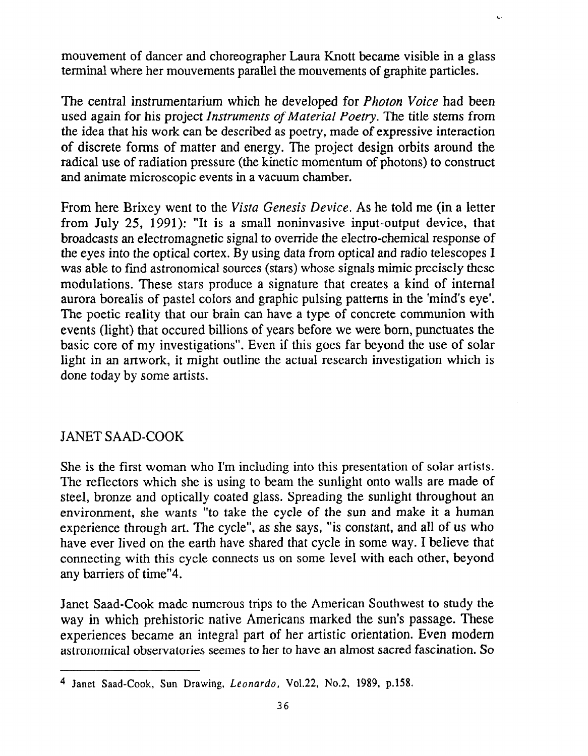mouvement of dancer and choreographer Laura Knott became visible in a glass terminal where her mouvements parallel the mouvements of graphite particles.

 $\epsilon$ 

The central instrumentarium which he developed for *Photon Voice* had been used again for his project Instruments of Material Poetry. The title stems from the idea that his work can be described as poetry, made of expressive interaction of discrete forms of matter and energy. The project design orbits around the radical use of radiation pressure (the kinetic momentum of photons) to construct and animate microscopic events in a vacuum chamber.

From here Brixey went to the Vista Genesis Device. As he told me (in a letter from July 25, 1991): "It is a small noninvasive input-output device, that broadcasts an electromagnetic signal to override the electro-chemical response of the eyes into the optical cortex. By using data from optical and radio telescopes I was able to find astronomical sources (stars) whose signals mimic precisely these modulations. These stars produce a signature that creates a kind of internal aurora borealis of pastel colors and graphic pulsing patterns in the 'mind's eye'. The poetic reality that our brain can have a type of concrete communion with events (light) that occured billions of years before we were bon, punctuates the basic core of my investigations". Even if this goes far beyond the use of solar light in an artwork, it might outline the actual research investigation which is done today by some artists.

## JANET SAAD-COOK

She is the first woman who I'm including into this presentation of solar artists. The reflectors which she is using to beam the sunlight onto walls are made of steel, bronze and optically coated glass. Spreading the sunlight throughout an environment, she wants "to take the cycle of the sun and make it a human experience through art. The cycle", as she says, "is constant, and all of us who have ever lived on the earth have shared that cycle in some way. I believe that connecting with this cycle connects us on some level with each other, beyond any barriers of time"4.

Janet Saad-Cook made numerous trips to the American Southwest to study the way in which prehistoric native Americans marked the sun's passage. These experiences became an integral part of her artistic orientation. Even modem astronomical observatories seemes to her to have an almost sacred fascination. So

<sup>&</sup>lt;sup>4</sup> Janet Saad-Cook, Sun Drawing, Leonardo, Vol.22, No.2, 1989, p.158.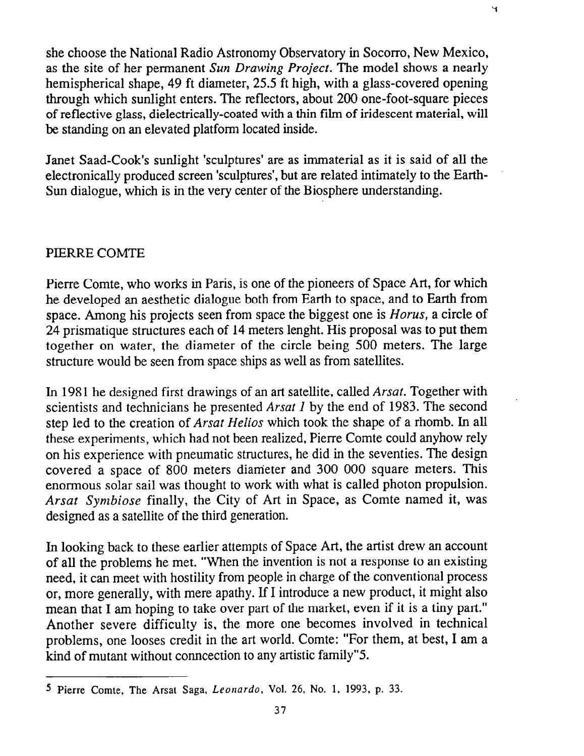she choose the National Radio Astronomy Observatory in Socorro, New Mexico, as the site of her permanent Sun Drawing Project. The model shows a nearly hemispherical shape, 49 ft diameter, 25.5 ft high, with a glass-covered opening through which sunlight enters. The reflectors, about 200 one-foot-square pieces of reflective glass, dielectrically-coated with a thin film of iridescent material, will be standing on an elevated platform located inside.

Janet Saad-Cook's sunlight 'sculptures' are as immaterial as it is said of all the electronically produced screen 'sculptures', but are related intimately to the Earth-Sun dialogue, which is in the very center of the Biosphere understanding.

### PIERRE COMTE

Pierre Comte, who works in Paris, is one of the pioneers of Space Art, for which he developed an aesthetic dialogue both from Earth to space, and to Earth from space. Among his projects seen from space the biggest one is *Horus*, a circle of 24 prismatique structures each of 14 meters lenght. His proposal was to put them together on water, the diameter of the circle being 500 meters. The large structure would be seen from space ships as well as from satellites.

In 1981 he designed first drawings of an art satellite, called Arsat. Together with scientists and technicians he presented Arsat I by the end of 1983. The second step led to the creation of Arsat Helios which took the shape of a rhomb. In all these experiments, which had not been realized, Pierre Comte could anyhow rely on his experience with pneumatic structures, he did in the seventies. The design covered a space of 800 meters diameter and 300 000 square meters. This enormous solar sail was thought to work with what is called photon propulsion. Arsat Symbiose finally, the City of Art in Space, as Comte named it, was designed as a satellite of the third generation.

In looking back to these earlier attempts of Space Art, the artist drew an account of all the problems he met. "When the invention is not a response to an existing need, it can meet with hostility from people in charge of the conventional process or, more generally, with mere apathy. If I introduce a new product, it might also mean that I am hoping to take over part of the market, even if it is a tiny part." Another severe difficulty is, the more one becomes involved in technical problems, one looses credit in the art world. Comte: "For them, at best, I am a kind of mutant without conncection to any artistic family"5

¥,

<sup>5</sup> Pierre Comte, The Arsat Saga, Leonardo, Vol. 26, No. 1, 1993, p. 33.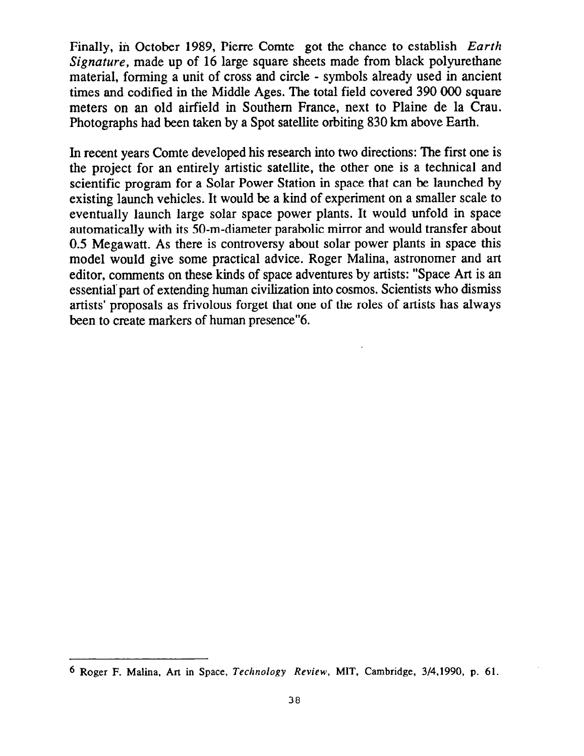Finally, in October 1989, Pierre Comte got the chance to establish Earth Signature, made up of 16 large square sheets made from black polyurethane material, forming a unit of cross and circle - symbols already used in ancient times and codified in the Middle Ages. The total field covered 390 000 square meters on an old airfield in Southern France, next to Plaine de la Crau. Photographs had been taken by a Spot satellite orbiting 830 km above Earth.

In recent years Comte developed his research into two directions: The first one is the project for an entirely artistic satellite, the other one is a technical and scientific program for a Solar Power Station in space that can be launched by existing launch vehicles. It would be a kind of experiment on a smaller scale to eventually launch large solar space power plants. It would unfold in space automatically with its 50-m-diameter parabolic mirror and would transfer about 0.5 Megawatt. As there is controversy about solar power plants in space this model would give some practical advice. Roger Malina, astronomer and art editor, comments on these kinds of space adventures by artists: "Space Art is an essential 'part of extending human civilization into cosmos. Scientists who dismiss artists' proposals as frivolous forget that one of the roles of artists has always been to create markers of human presence"6.

<sup>6</sup> Roger F. Malina, Art in Space, Technology Review, MIT, Cambridge, 3/4,1990, p. 61.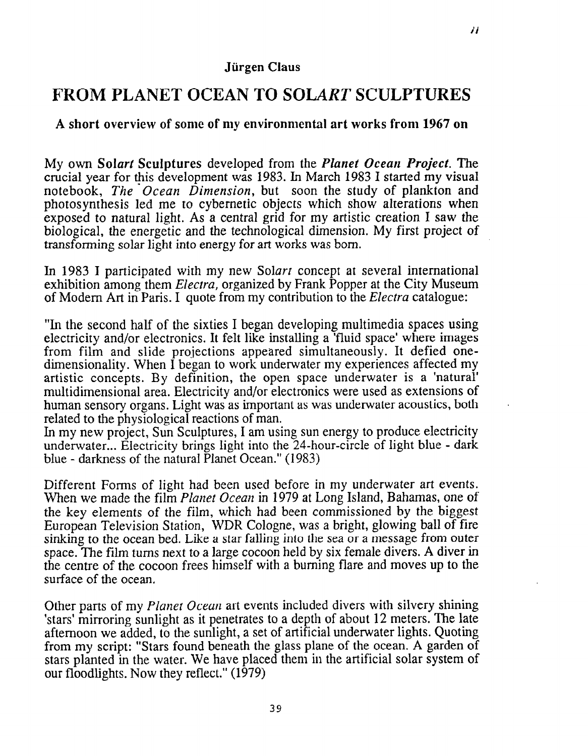## FROM PLANET OCEAN TO SOLART SCULPTURES

## A short overview of some of my environmental art works from 1967 on

My own Solart Sculptures developed from the Planet Ocean Project. The crucial year for this development was 1983. In March 1983 I started my visual notebook, The Ocean Dimension, but soon the study of plankton and photosynthesis led me to cybernetic objects which show alterations when exposed to natural light. As a central grid for my artistic creation I saw the biological, the energetic and the technological dimension. My first project of transforming solar light into energy for art works was born.

In 1983 I participated with my new Solart concept at several international exhibition among them *Electra*, organized by Frank Popper at the City Museum of Modern Art in Paris. I quote from my contribution to the *Electra* catalogue:

"In the second half of the sixties I began developing multimedia spaces using electricity and/or electronics. It felt like installing a 'fluid space' where images from film and slide projections appeared simultaneously. It defied onedimensionality. When I began to work underwater my experiences affected my artistic concepts. By definition, the open space underwater is a 'natural' multidimensional area. Electricity and/or electronics were used as extensions of human sensory organs. Light was as important as was underwater acoustics, both related to the physiological reactions of man.

In my new project, Sun Sculptures, I am using sun energy to produce electricity underwater... Electricity brings light into the 24-hour-circle of light blue - dark blue - darkness of the natural Planet Ocean." (1983)

Different Forms of light had been used before in my underwater art events. When we made the film Planet Ocean in 1979 at Long Island, Bahamas, one of the key elements of the film, which had been commissioned by the biggest European Television Station, WDR Cologne, was a bright, glowing ball of fire sinking to the ocean bed. Like a star falling into the sea or a message from outer space. The film turns next to a large cocoon held by six female divers. A diver in the centre of the cocoon frees himself with a burning flare and moves up to the surface of the ocean.

Other parts of my Planet Ocean art events included divers with silvery shining 'stars' mirroring sunlight as it penetrates to a depth of about 12 meters. The late afternoon we added, to the sunlight, a set of artificial underwater lights. Quoting from my script: "Stars found beneath the glass plane of the ocean. A garden of stars planted in the water. We have placed them in the artificial solar system of our floodlights. Now they reflect." (1979)

.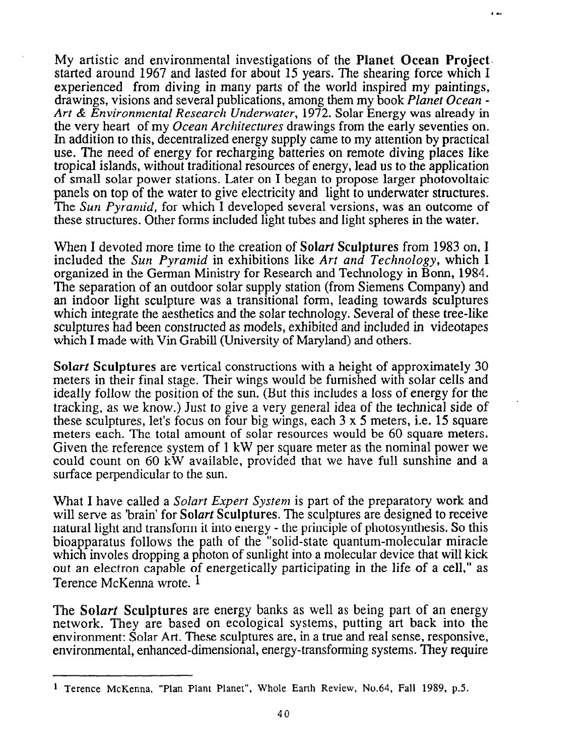My artistic and environmental investigations of the Planet Ocean Project. started around 1967 and lasted for about 15 years. The shearing force which I experienced from diving in many parts of the world inspired my paintings, drawings, visions and several publications, among them my book Planet Ocean - Art & Environmental Research Underwater, 1972. Solar Energy was already in the very heart of my Ocean Architectures drawings from the early seventies on. In addition to this, decentralized energy supply came to my attention by practical use. The need of energy for recharging batteries on remote diving places like tropical islands, without traditional resources of energy, lead us to the application of small solar power stations. Later on I began to propose larger photovoltaic panels on top of the water to give electricity and light to underwater structures. The Sun Pyramid, for which I developed several versions, was an outcome of these structures. Other forms included light tubes and light spheres in the water.

 $\overline{1}$ 

When I devoted more time to the creation of Solart Sculptures from 1983 on, I included the Sun Pyramid in exhibitions like Art and Technology, which I organized in the German Ministry for Research and Technology in Bonn, 1984. The separation of an outdoor solar supply station (from Siemens Company) and an indoor light sculpture was a transitional form, leading towards sculptures which integrate the aesthetics and the solar technology. Several of these tree-like sculptures had been constructed as models, exhibited and included in videotapes which I made with Vin Grabill (University of Maryland) and others.

Solart Sculptures are vertical constructions with a height of approximately 30 meters in their final stage. Their wings would be furnished with solar cells and ideally follow the position of the sun. (But this includes a loss of energy for the tracking, as we know.) Just to give a very general idea of the technical side of these sculptures, let's focus on four big wings, each 3 x 5 meters, i.e. 15 square meters each. The total amount of solar resources would be 60 square meters. Given the reference system of 1 kW per square meter as the nominal power we could count on 60 kW available, provided that we have full sunshine and a surface perpendicular to the sun.

What I have called a *Solart Expert System* is part of the preparatory work and will serve as 'brain' for Solart Sculptures. The sculptures are designed to receive natural light and transform it into energy - the principle of photosynthesis. So this bioapparatus follows the path of the "solid-state quantum-molecular miracle which involes dropping a photon of sunlight into a molecular device that will kick out an electron capable of energetically participating in the life of a cell," as Terence McKenna wrote. 1

The Solart Sculptures are energy banks as well as being part of an energy network. They are based on ecological systems, putting art back into the environment: Solar Art. These sculptures are, in a true and real sense, responsive, environmental, enhanced-dimensional, energy-transforming systems. They require

<sup>1</sup> Terence McKenna, "Plan Plant Planet", Whole Earth Review, No.64, Fall 1989. p.5.